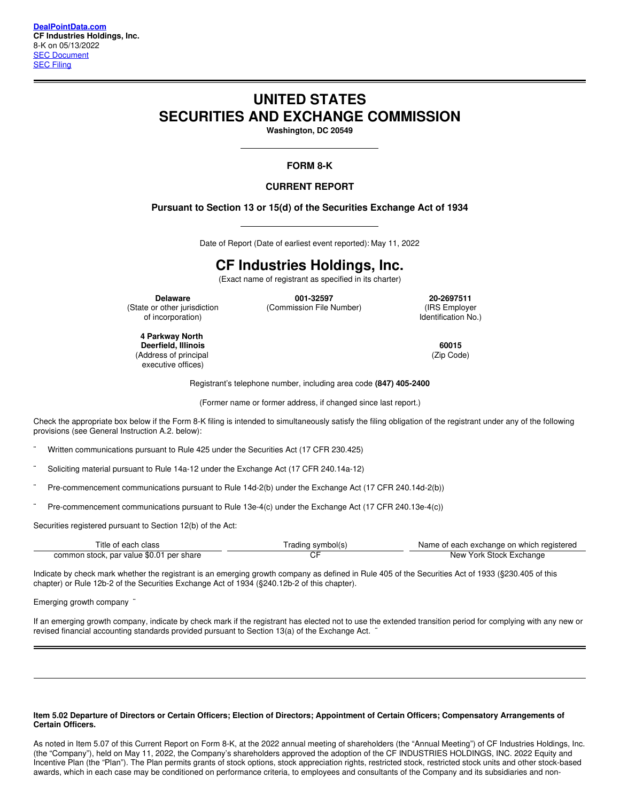# **UNITED STATES SECURITIES AND EXCHANGE COMMISSION**

**Washington, DC 20549**

# **FORM 8-K**

**CURRENT REPORT**

# **Pursuant to Section 13 or 15(d) of the Securities Exchange Act of 1934**

Date of Report (Date of earliest event reported): May 11, 2022

# **CF Industries Holdings, Inc.**

(Exact name of registrant as specified in its charter)

(State or other jurisdiction of incorporation)

**Delaware 001-32597 20-2697511** (Commission File Number) (IRS Employer

Identification No.)

**4 Parkway North Deerfield, Illinois 60015** (Address of principal executive offices)

(Zip Code)

Registrant's telephone number, including area code **(847) 405-2400**

(Former name or former address, if changed since last report.)

Check the appropriate box below ifthe Form 8-K filing is intended to simultaneously satisfy the filing obligation of the registrant under any of the following provisions (see General Instruction A.2. below):

Written communications pursuant to Rule 425 under the Securities Act (17 CFR 230.425)

Soliciting material pursuant to Rule 14a-12 under the Exchange Act (17 CFR 240.14a-12)

Pre-commencement communications pursuant to Rule 14d-2(b) under the Exchange Act (17 CFR 240.14d-2(b))

¨ Pre-commencement communications pursuant to Rule 13e-4(c) under the Exchange Act (17 CFR 240.13e-4(c))

Securities registered pursuant to Section 12(b) of the Act:

| Title of each class                      | (rading symbol(s | Name of each exchange on which registered |
|------------------------------------------|------------------|-------------------------------------------|
| common stock, par value \$0.01 per share |                  | New York Stock Exchange                   |

Indicate by check mark whether the registrant is an emerging growth company as defined in Rule 405 of the Securities Act of 1933 (§230.405 of this chapter) or Rule 12b-2 of the Securities Exchange Act of 1934 (§240.12b-2 of this chapter).

Emerging growth company  $\cdot$ 

If an emerging growth company, indicate by check mark if the registrant has elected not to use the extended transition period for complying with any new or revised financial accounting standards provided pursuant to Section 13(a) of the Exchange Act.

#### Item 5.02 Departure of Directors or Certain Officers; Election of Directors; Appointment of Certain Officers; Compensatory Arrangements of **Certain Officers.**

As noted in Item 5.07 of this Current Report on Form 8-K, at the 2022 annual meeting of shareholders (the "Annual Meeting") of CF Industries Holdings, Inc. (the "Company"), held on May 11, 2022, the Company's shareholders approved the adoption of the CF INDUSTRIES HOLDINGS, INC. 2022 Equity and Incentive Plan (the "Plan"). The Plan permits grants of stock options, stock appreciation rights, restricted stock, restricted stock units and other stock-based awards, which in each case may be conditioned on performance criteria, to employees and consultants of the Company and its subsidiaries and non-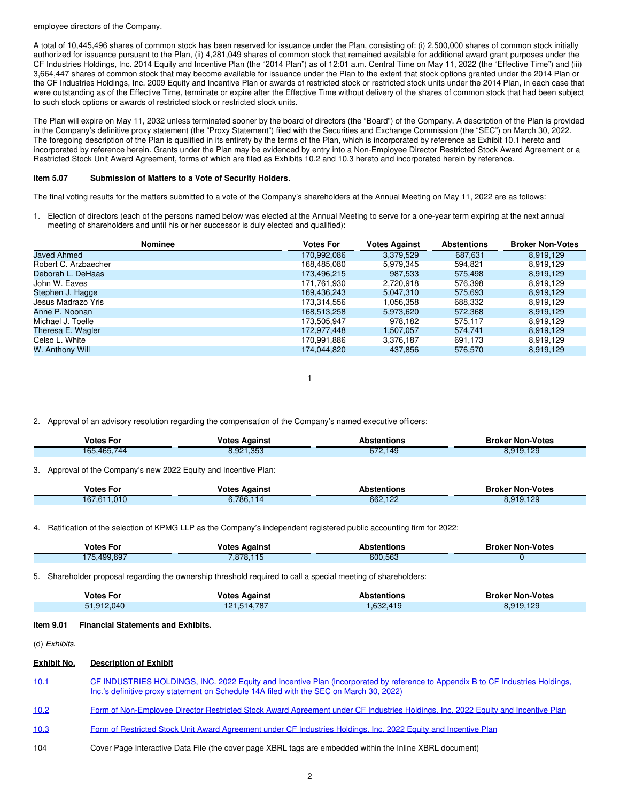#### employee directors of the Company.

A total of 10,445,496 shares of common stock has been reserved for issuance under the Plan, consisting of: (i) 2,500,000 shares of common stock initially authorized for issuance pursuant to the Plan, (ii) 4,281,049 shares of common stock that remained available for additional award grant purposes under the CF Industries Holdings, Inc. 2014 Equity and Incentive Plan (the "2014 Plan") as of 12:01 a.m. Central Time on May 11, 2022 (the "Effective Time") and (iii) 3,664,447 shares of common stock that may become available for issuance under the Plan to the extent that stock options granted under the 2014 Plan or the CF Industries Holdings, Inc. 2009 Equity and Incentive Plan or awards of restricted stock or restricted stock units under the 2014 Plan, in each case that were outstanding as of the Effective Time, terminate or expire after the Effective Time without delivery of the shares of common stock that had been subject to such stock options or awards of restricted stock or restricted stock units.

The Plan will expire on May 11, 2032 unless terminated sooner by the board of directors (the "Board") of the Company. A description of the Plan is provided in the Company's definitive proxy statement (the "Proxy Statement") filed with the Securities and Exchange Commission (the "SEC") on March 30, 2022. The foregoing description of the Plan is qualified in its entirety by the terms of the Plan, which is incorporated by reference as Exhibit 10.1 hereto and incorporated by reference herein. Grants under the Plan may be evidenced by entry into a Non-Employee Director Restricted Stock Award Agreement or a Restricted Stock Unit Award Agreement, forms of which are filed as Exhibits 10.2 and 10.3 hereto and incorporated herein by reference.

# **Item 5.07 Submission of Matters to a Vote of Security Holders**.

The final voting results for the matters submitted to a vote of the Company's shareholders at the Annual Meeting on May 11, 2022 are as follows:

1. Election of directors (each of the persons named below was elected at the Annual Meeting to serve for a one-year term expiring at the next annual meeting of shareholders and until his or her successor is duly elected and qualified):

| <b>Nominee</b>       | <b>Votes For</b> | <b>Votes Against</b> | <b>Abstentions</b> | <b>Broker Non-Votes</b> |
|----------------------|------------------|----------------------|--------------------|-------------------------|
| <b>Javed Ahmed</b>   | 170,992,086      | 3,379,529            | 687.631            | 8,919,129               |
| Robert C. Arzbaecher | 168.485.080      | 5.979.345            | 594.821            | 8,919,129               |
| Deborah L. DeHaas    | 173,496,215      | 987,533              | 575,498            | 8,919,129               |
| John W. Eaves        | 171.761.930      | 2.720.918            | 576.398            | 8,919,129               |
| Stephen J. Hagge     | 169,436,243      | 5.047.310            | 575.693            | 8,919,129               |
| Jesus Madrazo Yris   | 173.314.556      | 1.056.358            | 688.332            | 8.919.129               |
| Anne P. Noonan       | 168,513,258      | 5,973,620            | 572,368            | 8,919,129               |
| Michael J. Toelle    | 173.505.947      | 978,182              | 575.117            | 8,919,129               |
| Theresa E. Wagler    | 172.977.448      | 1,507,057            | 574.741            | 8,919,129               |
| Celso L. White       | 170,991,886      | 3,376,187            | 691.173            | 8,919,129               |
| W. Anthony Will      | 174,044,820      | 437,856              | 576,570            | 8,919,129               |
|                      |                  |                      |                    |                         |

1

2. Approval of an advisory resolution regarding the compensation of the Company's named executive officers:

| Votes For        | Against<br>'otes                 | Abstentions                             | <b>Broker Non-Votes</b> |
|------------------|----------------------------------|-----------------------------------------|-------------------------|
| ,465,70<br>1 C L | 0 <sub>0</sub><br>ഹ<br>າ.ອ∠<br>. | $\overline{10}$<br>0.70<br>145<br>0/2.1 | ).129                   |
|                  |                                  |                                         |                         |

3. Approval of the Company's new 2022 Equity and Incentive Plan:

| <b>Votes For</b> | <b>Votes Against</b> | Abstentions | <b>Broker Non-Votes</b> |
|------------------|----------------------|-------------|-------------------------|
| 167,611,010      | 6,786,114            | 662,122     | 8,919,129               |

4. Ratification of the selection of KPMG LLP as the Company's independent registered public accounting firm for 2022:

| <b>Votes For</b> | <b>Votes Against</b> | Abstentions | <b>Broker Non-Votes</b> |
|------------------|----------------------|-------------|-------------------------|
| 175.499.697      | 7,878,115            | 600,563     |                         |

5. Shareholder proposal regarding the ownership threshold required to call a special meeting of shareholders:

| <b>Votes For</b> | <b>Votes Against</b> | Abstentions | <b>Broker Non-Votes</b> |
|------------------|----------------------|-------------|-------------------------|
| 51.912.040       | 4.787<br>121.514     | .632,419    | 8,919,129               |

#### **Item 9.01 Financial Statements and Exhibits.**

(d) *Exhibits*.

## **Exhibit No. Description of Exhibit**

| 10.1 | CF INDUSTRIES HOLDINGS, INC. 2022 Equity and Incentive Plan (incorporated by reference to Appendix B to CF Industries Holdings,<br>Inc.'s definitive proxy statement on Schedule 14A filed with the SEC on March 30, 2022) |
|------|----------------------------------------------------------------------------------------------------------------------------------------------------------------------------------------------------------------------------|
| 10.2 | Form of Non-Employee Director Restricted Stock Award Agreement under CF Industries Holdings, Inc. 2022 Equity and Incentive Plan                                                                                           |
| 10.3 | Form of Restricted Stock Unit Award Agreement under CF Industries Holdings, Inc. 2022 Equity and Incentive Plan                                                                                                            |

104 Cover Page Interactive Data File (the cover page XBRL tags are embedded within the Inline XBRL document)